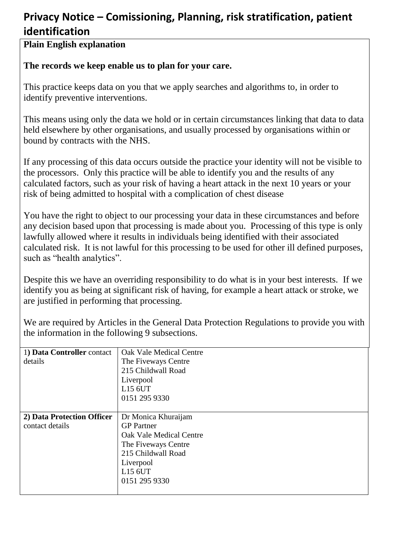### **Privacy Notice – Comissioning, Planning, risk stratification, patient identification**

#### **Plain English explanation**

#### **The records we keep enable us to plan for your care.**

This practice keeps data on you that we apply searches and algorithms to, in order to identify preventive interventions.

This means using only the data we hold or in certain circumstances linking that data to data held elsewhere by other organisations, and usually processed by organisations within or bound by contracts with the NHS.

If any processing of this data occurs outside the practice your identity will not be visible to the processors. Only this practice will be able to identify you and the results of any calculated factors, such as your risk of having a heart attack in the next 10 years or your risk of being admitted to hospital with a complication of chest disease

You have the right to object to our processing your data in these circumstances and before any decision based upon that processing is made about you. Processing of this type is only lawfully allowed where it results in individuals being identified with their associated calculated risk. It is not lawful for this processing to be used for other ill defined purposes, such as "health analytics".

Despite this we have an overriding responsibility to do what is in your best interests. If we identify you as being at significant risk of having, for example a heart attack or stroke, we are justified in performing that processing.

We are required by Articles in the General Data Protection Regulations to provide you with the information in the following 9 subsections.

| 1) Data Controller contact | Oak Vale Medical Centre |
|----------------------------|-------------------------|
| details                    | The Fiveways Centre     |
|                            | 215 Childwall Road      |
|                            | Liverpool               |
|                            | L15 6UT                 |
|                            | 0151 295 9330           |
|                            |                         |
| 2) Data Protection Officer | Dr Monica Khuraijam     |
| contact details            | <b>GP</b> Partner       |
|                            | Oak Vale Medical Centre |
|                            | The Fiveways Centre     |
|                            | 215 Childwall Road      |
|                            | Liverpool               |
|                            | L15 6UT                 |
|                            | 0151 295 9330           |
|                            |                         |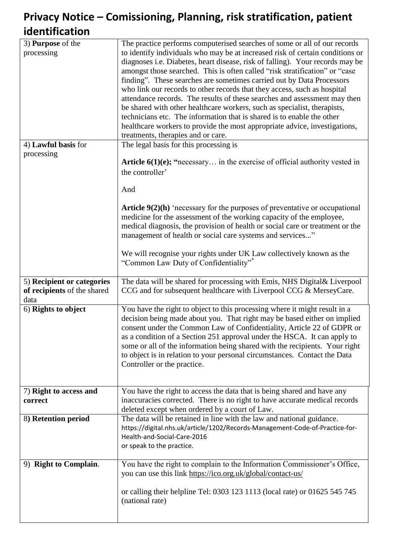# **Privacy Notice – Comissioning, Planning, risk stratification, patient identification**

| 3) <b>Purpose</b> of the    | The practice performs computerised searches of some or all of our records          |
|-----------------------------|------------------------------------------------------------------------------------|
| processing                  | to identify individuals who may be at increased risk of certain conditions or      |
|                             | diagnoses i.e. Diabetes, heart disease, risk of falling). Your records may be      |
|                             | amongst those searched. This is often called "risk stratification" or "case        |
|                             | finding". These searches are sometimes carried out by Data Processors              |
|                             | who link our records to other records that they access, such as hospital           |
|                             | attendance records. The results of these searches and assessment may then          |
|                             | be shared with other healthcare workers, such as specialist, therapists,           |
|                             | technicians etc. The information that is shared is to enable the other             |
|                             | healthcare workers to provide the most appropriate advice, investigations,         |
|                             | treatments, therapies and or care.                                                 |
| 4) Lawful basis for         | The legal basis for this processing is                                             |
| processing                  |                                                                                    |
|                             | <b>Article 6(1)(e); "necessary</b> in the exercise of official authority vested in |
|                             | the controller'                                                                    |
|                             |                                                                                    |
|                             | And                                                                                |
|                             |                                                                                    |
|                             | Article $9(2)(h)$ 'necessary for the purposes of preventative or occupational      |
|                             | medicine for the assessment of the working capacity of the employee,               |
|                             | medical diagnosis, the provision of health or social care or treatment or the      |
|                             | management of health or social care systems and services"                          |
|                             | We will recognise your rights under UK Law collectively known as the               |
|                             | "Common Law Duty of Confidentiality"*                                              |
|                             |                                                                                    |
| 5) Recipient or categories  | The data will be shared for processing with Emis, NHS Digital& Liverpool           |
| of recipients of the shared | CCG and for subsequent healthcare with Liverpool CCG & MerseyCare.                 |
| data                        |                                                                                    |
| 6) Rights to object         | You have the right to object to this processing where it might result in a         |
|                             | decision being made about you. That right may be based either on implied           |
|                             | consent under the Common Law of Confidentiality, Article 22 of GDPR or             |
|                             | as a condition of a Section 251 approval under the HSCA. It can apply to           |
|                             | some or all of the information being shared with the recipients. Your right        |
|                             | to object is in relation to your personal circumstances. Contact the Data          |
|                             | Controller or the practice.                                                        |
|                             |                                                                                    |
|                             |                                                                                    |
| 7) Right to access and      | You have the right to access the data that is being shared and have any            |
| correct                     | inaccuracies corrected. There is no right to have accurate medical records         |
|                             | deleted except when ordered by a court of Law.                                     |
| 8) Retention period         | The data will be retained in line with the law and national guidance.              |
|                             | https://digital.nhs.uk/article/1202/Records-Management-Code-of-Practice-for-       |
|                             | Health-and-Social-Care-2016                                                        |
|                             | or speak to the practice.                                                          |
| 9) Right to Complain.       | You have the right to complain to the Information Commissioner's Office,           |
|                             | you can use this link https://ico.org.uk/global/contact-us/                        |
|                             |                                                                                    |
|                             | or calling their helpline Tel: 0303 123 1113 (local rate) or 01625 545 745         |
|                             | (national rate)                                                                    |
|                             |                                                                                    |
|                             |                                                                                    |